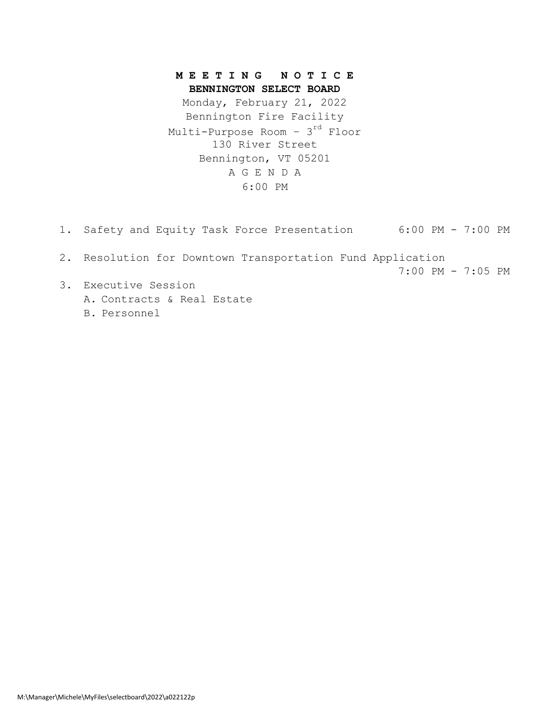#### **M E E T I N G N O T I C E BENNINGTON SELECT BOARD**

A G E N D A 6:00 PM Monday, February 21, 2022 Bennington Fire Facility Multi-Purpose Room - 3<sup>rd</sup> Floor 130 River Street Bennington, VT 05201

- 1. Safety and Equity Task Force Presentation 6:00 PM 7:00 PM
- 2. Resolution for Downtown Transportation Fund Application 7:00 PM - 7:05 PM
- 3. Executive Session A. Contracts & Real Estate B. Personnel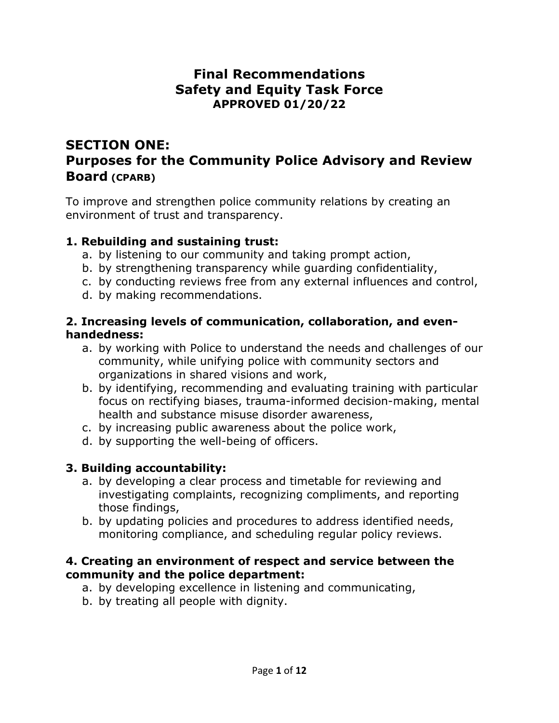# **Final Recommendations Safety and Equity Task Force APPROVED 01/20/22**

# **SECTION ONE: Purposes for the Community Police Advisory and Review Board (CPARB)**

To improve and strengthen police community relations by creating an environment of trust and transparency.

#### **1. Rebuilding and sustaining trust:**

- a. by listening to our community and taking prompt action,
- b. by strengthening transparency while guarding confidentiality,
- c. by conducting reviews free from any external influences and control,
- d. by making recommendations.

#### **2. Increasing levels of communication, collaboration, and evenhandedness:**

- a. by working with Police to understand the needs and challenges of our community, while unifying police with community sectors and organizations in shared visions and work,
- b. by identifying, recommending and evaluating training with particular focus on rectifying biases, trauma-informed decision-making, mental health and substance misuse disorder awareness,
- c. by increasing public awareness about the police work,
- d. by supporting the well-being of officers.

#### **3. Building accountability:**

- a. by developing a clear process and timetable for reviewing and investigating complaints, recognizing compliments, and reporting those findings,
- b. by updating policies and procedures to address identified needs, monitoring compliance, and scheduling regular policy reviews.

#### **4. Creating an environment of respect and service between the community and the police department:**

- a. by developing excellence in listening and communicating,
- b. by treating all people with dignity.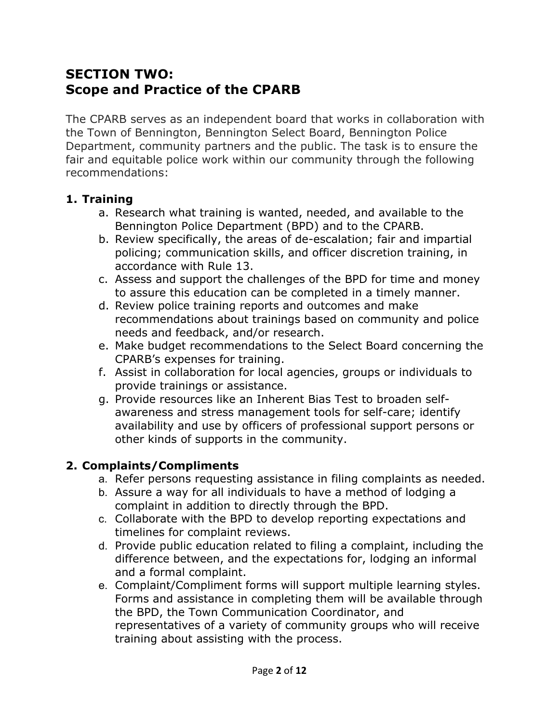# **SECTION TWO: Scope and Practice of the CPARB**

The CPARB serves as an independent board that works in collaboration with the Town of Bennington, Bennington Select Board, Bennington Police Department, community partners and the public. The task is to ensure the fair and equitable police work within our community through the following recommendations:

#### **1. Training**

- a. Research what training is wanted, needed, and available to the Bennington Police Department (BPD) and to the CPARB.
- b. Review specifically, the areas of de-escalation; fair and impartial policing; communication skills, and officer discretion training, in accordance with Rule 13.
- c. Assess and support the challenges of the BPD for time and money to assure this education can be completed in a timely manner.
- d. Review police training reports and outcomes and make recommendations about trainings based on community and police needs and feedback, and/or research.
- e. Make budget recommendations to the Select Board concerning the CPARB's expenses for training.
- f. Assist in collaboration for local agencies, groups or individuals to provide trainings or assistance.
- g. Provide resources like an Inherent Bias Test to broaden selfawareness and stress management tools for self-care; identify availability and use by officers of professional support persons or other kinds of supports in the community.

### **2. Complaints/Compliments**

- a. Refer persons requesting assistance in filing complaints as needed.
- b. Assure a way for all individuals to have a method of lodging a complaint in addition to directly through the BPD.
- c. Collaborate with the BPD to develop reporting expectations and timelines for complaint reviews.
- d. Provide public education related to filing a complaint, including the difference between, and the expectations for, lodging an informal and a formal complaint.
- e. Complaint/Compliment forms will support multiple learning styles. Forms and assistance in completing them will be available through the BPD, the Town Communication Coordinator, and representatives of a variety of community groups who will receive training about assisting with the process.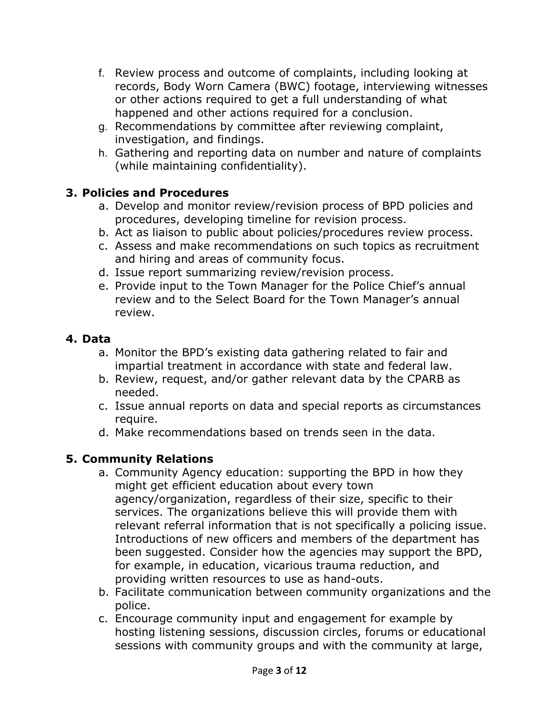- f. Review process and outcome of complaints, including looking at records, Body Worn Camera (BWC) footage, interviewing witnesses or other actions required to get a full understanding of what happened and other actions required for a conclusion.
- g. Recommendations by committee after reviewing complaint, investigation, and findings.
- h. Gathering and reporting data on number and nature of complaints (while maintaining confidentiality).

## **3. Policies and Procedures**

- a. Develop and monitor review/revision process of BPD policies and procedures, developing timeline for revision process.
- b. Act as liaison to public about policies/procedures review process.
- c. Assess and make recommendations on such topics as recruitment and hiring and areas of community focus.
- d. Issue report summarizing review/revision process.
- e. Provide input to the Town Manager for the Police Chief's annual review and to the Select Board for the Town Manager's annual review.

## **4. Data**

- a. Monitor the BPD's existing data gathering related to fair and impartial treatment in accordance with state and federal law.
- b. Review, request, and/or gather relevant data by the CPARB as needed.
- c. Issue annual reports on data and special reports as circumstances require.
- d. Make recommendations based on trends seen in the data.

# **5. Community Relations**

- a. Community Agency education: supporting the BPD in how they might get efficient education about every town agency/organization, regardless of their size, specific to their services. The organizations believe this will provide them with relevant referral information that is not specifically a policing issue. Introductions of new officers and members of the department has been suggested. Consider how the agencies may support the BPD, for example, in education, vicarious trauma reduction, and providing written resources to use as hand-outs.
- b. Facilitate communication between community organizations and the police.
- c. Encourage community input and engagement for example by hosting listening sessions, discussion circles, forums or educational sessions with community groups and with the community at large,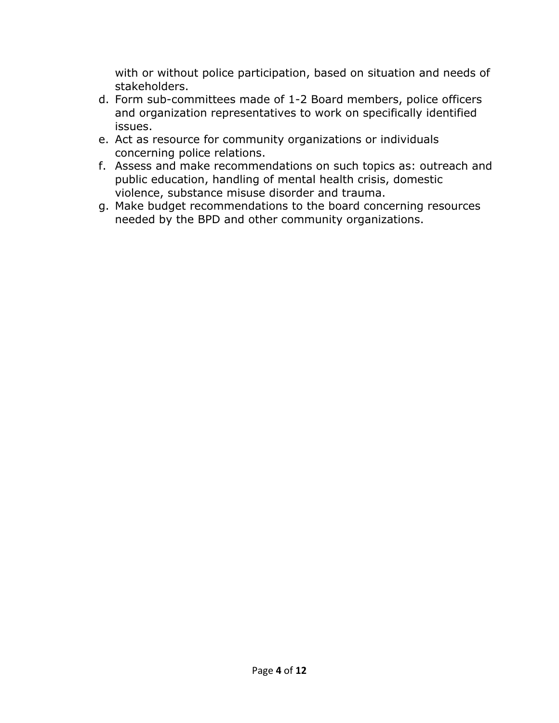with or without police participation, based on situation and needs of stakeholders.

- d. Form sub-committees made of 1-2 Board members, police officers and organization representatives to work on specifically identified issues.
- e. Act as resource for community organizations or individuals concerning police relations.
- f. Assess and make recommendations on such topics as: outreach and public education, handling of mental health crisis, domestic violence, substance misuse disorder and trauma.
- g. Make budget recommendations to the board concerning resources needed by the BPD and other community organizations.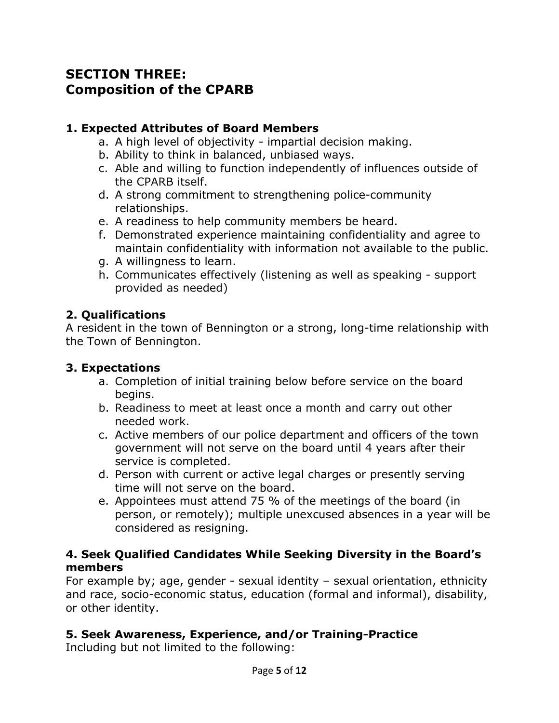# **SECTION THREE: Composition of the CPARB**

### **1. Expected Attributes of Board Members**

- a. A high level of objectivity impartial decision making.
- b. Ability to think in balanced, unbiased ways.
- c. Able and willing to function independently of influences outside of the CPARB itself.
- d. A strong commitment to strengthening police-community relationships.
- e. A readiness to help community members be heard.
- f. Demonstrated experience maintaining confidentiality and agree to maintain confidentiality with information not available to the public.
- g. A willingness to learn.
- h. Communicates effectively (listening as well as speaking support provided as needed)

### **2. Qualifications**

A resident in the town of Bennington or a strong, long-time relationship with the Town of Bennington.

### **3. Expectations**

- a. Completion of initial training below before service on the board begins.
- b. Readiness to meet at least once a month and carry out other needed work.
- c. Active members of our police department and officers of the town government will not serve on the board until 4 years after their service is completed.
- d. Person with current or active legal charges or presently serving time will not serve on the board.
- e. Appointees must attend 75 % of the meetings of the board (in person, or remotely); multiple unexcused absences in a year will be considered as resigning.

#### **4. Seek Qualified Candidates While Seeking Diversity in the Board's members**

For example by; age, gender - sexual identity – sexual orientation, ethnicity and race, socio-economic status, education (formal and informal), disability, or other identity.

# **5. Seek Awareness, Experience, and/or Training-Practice**

Including but not limited to the following: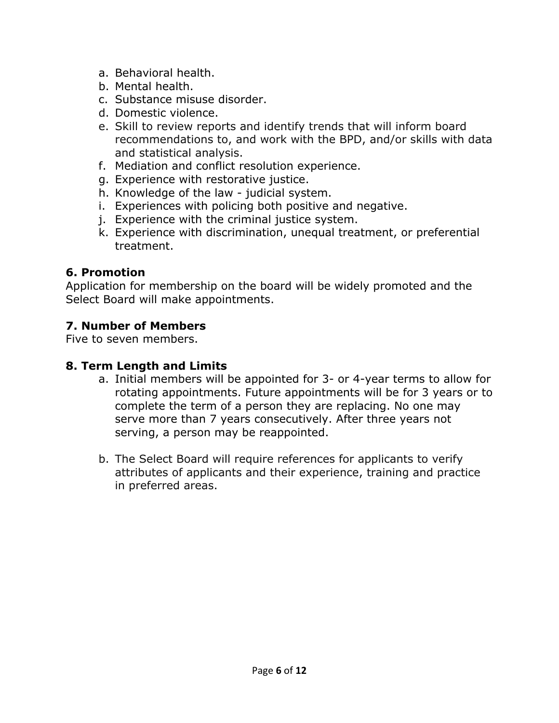- a. Behavioral health.
- b. Mental health.
- c. Substance misuse disorder.
- d. Domestic violence.
- e. Skill to review reports and identify trends that will inform board recommendations to, and work with the BPD, and/or skills with data and statistical analysis.
- f. Mediation and conflict resolution experience.
- g. Experience with restorative justice.
- h. Knowledge of the law judicial system.
- i. Experiences with policing both positive and negative.
- j. Experience with the criminal justice system.
- k. Experience with discrimination, unequal treatment, or preferential treatment.

### **6. Promotion**

Application for membership on the board will be widely promoted and the Select Board will make appointments.

## **7. Number of Members**

Five to seven members.

### **8. Term Length and Limits**

- a. Initial members will be appointed for 3- or 4-year terms to allow for rotating appointments. Future appointments will be for 3 years or to complete the term of a person they are replacing. No one may serve more than 7 years consecutively. After three years not serving, a person may be reappointed.
- b. The Select Board will require references for applicants to verify attributes of applicants and their experience, training and practice in preferred areas.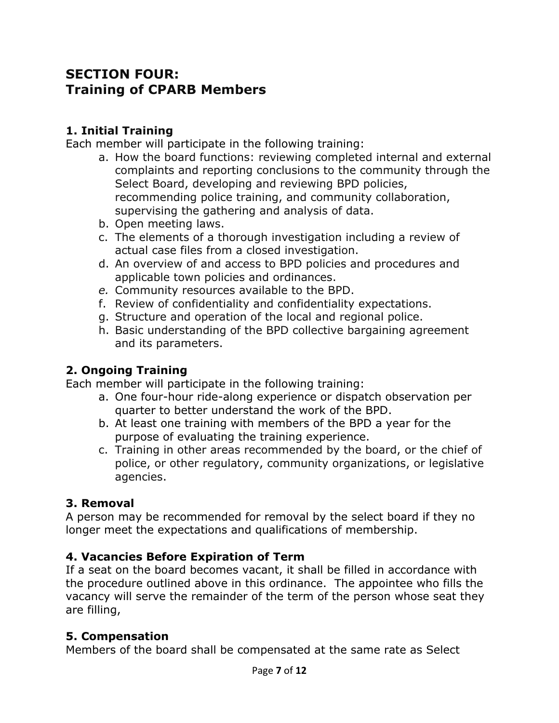# **SECTION FOUR: Training of CPARB Members**

### **1. Initial Training**

Each member will participate in the following training:

- a. How the board functions: reviewing completed internal and external complaints and reporting conclusions to the community through the Select Board, developing and reviewing BPD policies, recommending police training, and community collaboration, supervising the gathering and analysis of data.
- b. Open meeting laws.
- c. The elements of a thorough investigation including a review of actual case files from a closed investigation.
- d. An overview of and access to BPD policies and procedures and applicable town policies and ordinances.
- *e.* Community resources available to the BPD.
- f. Review of confidentiality and confidentiality expectations.
- g. Structure and operation of the local and regional police.
- h. Basic understanding of the BPD collective bargaining agreement and its parameters.

# **2. Ongoing Training**

Each member will participate in the following training:

- a. One four-hour ride-along experience or dispatch observation per quarter to better understand the work of the BPD.
- b. At least one training with members of the BPD a year for the purpose of evaluating the training experience.
- c. Training in other areas recommended by the board, or the chief of police, or other regulatory, community organizations, or legislative agencies.

### **3. Removal**

A person may be recommended for removal by the select board if they no longer meet the expectations and qualifications of membership.

### **4. Vacancies Before Expiration of Term**

If a seat on the board becomes vacant, it shall be filled in accordance with the procedure outlined above in this ordinance. The appointee who fills the vacancy will serve the remainder of the term of the person whose seat they are filling,

### **5. Compensation**

Members of the board shall be compensated at the same rate as Select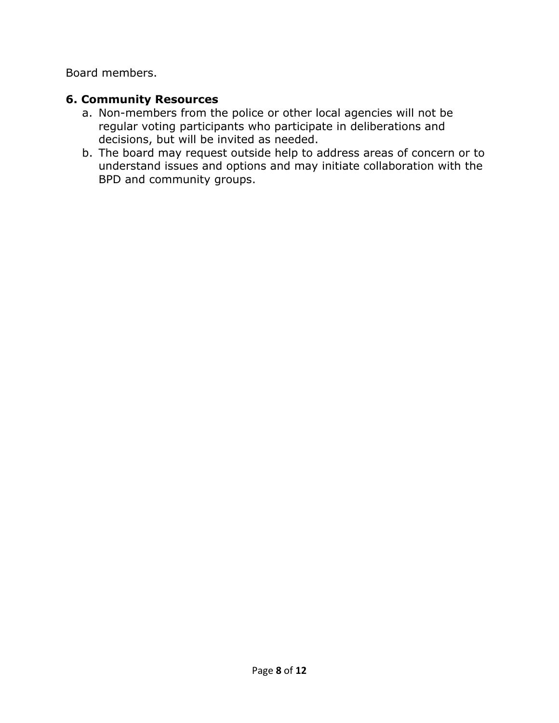Board members.

#### **6. Community Resources**

- a. Non-members from the police or other local agencies will not be regular voting participants who participate in deliberations and decisions, but will be invited as needed.
- b. The board may request outside help to address areas of concern or to understand issues and options and may initiate collaboration with the BPD and community groups.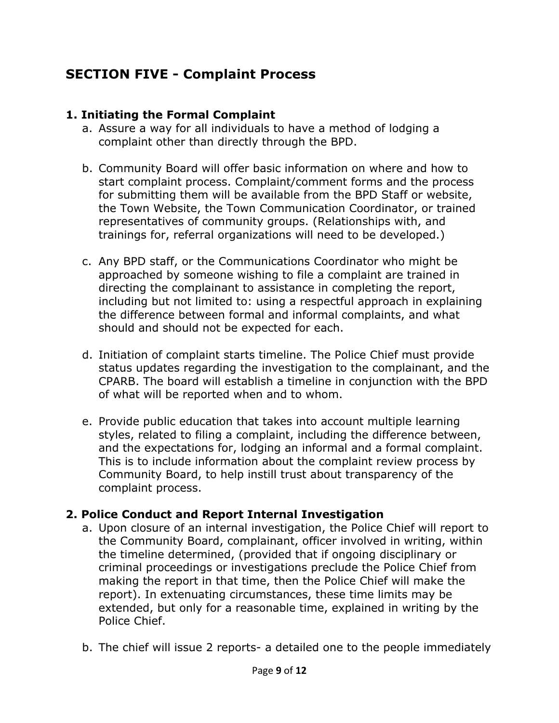# **SECTION FIVE - Complaint Process**

#### **1. Initiating the Formal Complaint**

- a. Assure a way for all individuals to have a method of lodging a complaint other than directly through the BPD.
- b. Community Board will offer basic information on where and how to start complaint process. Complaint/comment forms and the process for submitting them will be available from the BPD Staff or website, the Town Website, the Town Communication Coordinator, or trained representatives of community groups. (Relationships with, and trainings for, referral organizations will need to be developed.)
- c. Any BPD staff, or the Communications Coordinator who might be approached by someone wishing to file a complaint are trained in directing the complainant to assistance in completing the report, including but not limited to: using a respectful approach in explaining the difference between formal and informal complaints, and what should and should not be expected for each.
- d. Initiation of complaint starts timeline. The Police Chief must provide status updates regarding the investigation to the complainant, and the CPARB. The board will establish a timeline in conjunction with the BPD of what will be reported when and to whom.
- e. Provide public education that takes into account multiple learning styles, related to filing a complaint, including the difference between, and the expectations for, lodging an informal and a formal complaint. This is to include information about the complaint review process by Community Board, to help instill trust about transparency of the complaint process.

### **2. Police Conduct and Report Internal Investigation**

- a. Upon closure of an internal investigation, the Police Chief will report to the Community Board, complainant, officer involved in writing, within the timeline determined, (provided that if ongoing disciplinary or criminal proceedings or investigations preclude the Police Chief from making the report in that time, then the Police Chief will make the report). In extenuating circumstances, these time limits may be extended, but only for a reasonable time, explained in writing by the Police Chief.
- b. The chief will issue 2 reports- a detailed one to the people immediately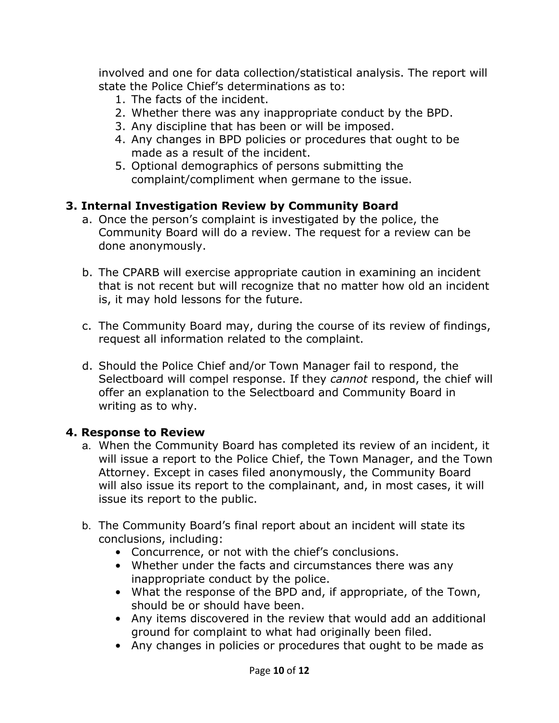involved and one for data collection/statistical analysis. The report will state the Police Chief's determinations as to:

- 1. The facts of the incident.
- 2. Whether there was any inappropriate conduct by the BPD.
- 3. Any discipline that has been or will be imposed.
- 4. Any changes in BPD policies or procedures that ought to be made as a result of the incident.
- 5. Optional demographics of persons submitting the complaint/compliment when germane to the issue.

### **3. Internal Investigation Review by Community Board**

- a. Once the person's complaint is investigated by the police, the Community Board will do a review. The request for a review can be done anonymously.
- b. The CPARB will exercise appropriate caution in examining an incident that is not recent but will recognize that no matter how old an incident is, it may hold lessons for the future.
- c. The Community Board may, during the course of its review of findings, request all information related to the complaint.
- d. Should the Police Chief and/or Town Manager fail to respond, the Selectboard will compel response. If they *cannot* respond, the chief will offer an explanation to the Selectboard and Community Board in writing as to why.

#### **4. Response to Review**

- a. When the Community Board has completed its review of an incident, it will issue a report to the Police Chief, the Town Manager, and the Town Attorney. Except in cases filed anonymously, the Community Board will also issue its report to the complainant, and, in most cases, it will issue its report to the public.
- b. The Community Board's final report about an incident will state its conclusions, including:
	- Concurrence, or not with the chief's conclusions.
	- Whether under the facts and circumstances there was any inappropriate conduct by the police.
	- What the response of the BPD and, if appropriate, of the Town, should be or should have been.
	- Any items discovered in the review that would add an additional ground for complaint to what had originally been filed.
	- Any changes in policies or procedures that ought to be made as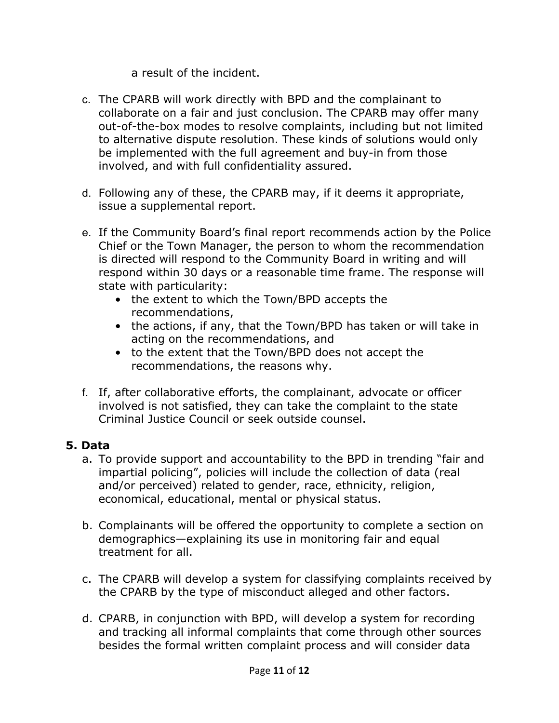a result of the incident.

- c. The CPARB will work directly with BPD and the complainant to collaborate on a fair and just conclusion. The CPARB may offer many out-of-the-box modes to resolve complaints, including but not limited to alternative dispute resolution. These kinds of solutions would only be implemented with the full agreement and buy-in from those involved, and with full confidentiality assured.
- d. Following any of these, the CPARB may, if it deems it appropriate, issue a supplemental report.
- e. If the Community Board's final report recommends action by the Police Chief or the Town Manager, the person to whom the recommendation is directed will respond to the Community Board in writing and will respond within 30 days or a reasonable time frame. The response will state with particularity:
	- the extent to which the Town/BPD accepts the recommendations,
	- the actions, if any, that the Town/BPD has taken or will take in acting on the recommendations, and
	- to the extent that the Town/BPD does not accept the recommendations, the reasons why.
- f. If, after collaborative efforts, the complainant, advocate or officer involved is not satisfied, they can take the complaint to the state Criminal Justice Council or seek outside counsel.

# **5. Data**

- a. To provide support and accountability to the BPD in trending "fair and impartial policing", policies will include the collection of data (real and/or perceived) related to gender, race, ethnicity, religion, economical, educational, mental or physical status.
- b. Complainants will be offered the opportunity to complete a section on demographics—explaining its use in monitoring fair and equal treatment for all.
- c. The CPARB will develop a system for classifying complaints received by the CPARB by the type of misconduct alleged and other factors.
- d. CPARB, in conjunction with BPD, will develop a system for recording and tracking all informal complaints that come through other sources besides the formal written complaint process and will consider data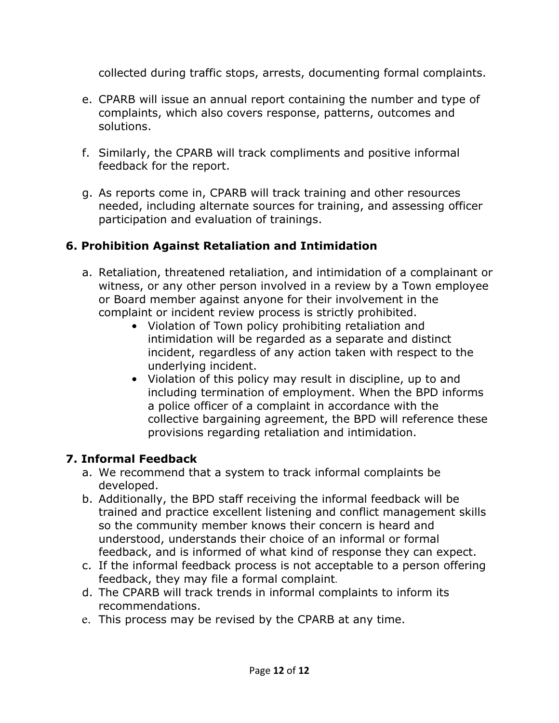collected during traffic stops, arrests, documenting formal complaints.

- e. CPARB will issue an annual report containing the number and type of complaints, which also covers response, patterns, outcomes and solutions.
- f. Similarly, the CPARB will track compliments and positive informal feedback for the report.
- g. As reports come in, CPARB will track training and other resources needed, including alternate sources for training, and assessing officer participation and evaluation of trainings.

# **6. Prohibition Against Retaliation and Intimidation**

- a. Retaliation, threatened retaliation, and intimidation of a complainant or witness, or any other person involved in a review by a Town employee or Board member against anyone for their involvement in the complaint or incident review process is strictly prohibited.
	- Violation of Town policy prohibiting retaliation and intimidation will be regarded as a separate and distinct incident, regardless of any action taken with respect to the underlying incident.
	- Violation of this policy may result in discipline, up to and including termination of employment. When the BPD informs a police officer of a complaint in accordance with the collective bargaining agreement, the BPD will reference these provisions regarding retaliation and intimidation.

# **7. Informal Feedback**

- a. We recommend that a system to track informal complaints be developed.
- b. Additionally, the BPD staff receiving the informal feedback will be trained and practice excellent listening and conflict management skills so the community member knows their concern is heard and understood, understands their choice of an informal or formal feedback, and is informed of what kind of response they can expect.
- c. If the informal feedback process is not acceptable to a person offering feedback, they may file a formal complaint.
- d. The CPARB will track trends in informal complaints to inform its recommendations.
- e. This process may be revised by the CPARB at any time.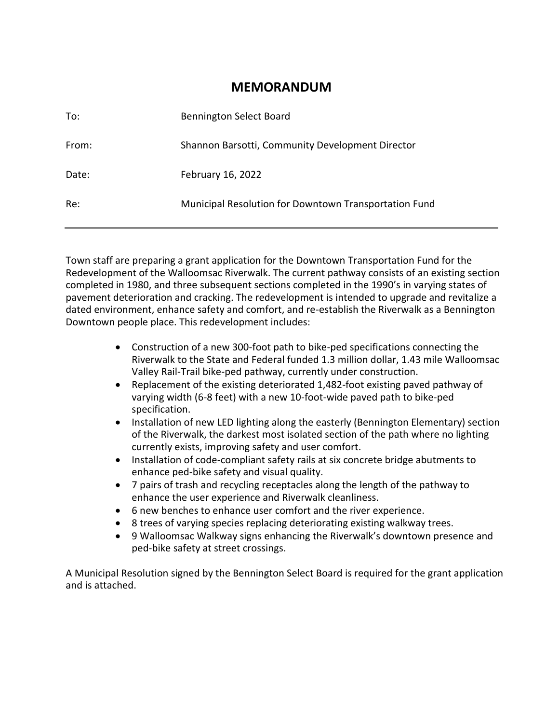### **MEMORANDUM**

| To:   | <b>Bennington Select Board</b>                        |
|-------|-------------------------------------------------------|
| From: | Shannon Barsotti, Community Development Director      |
| Date: | February 16, 2022                                     |
| Re:   | Municipal Resolution for Downtown Transportation Fund |

Town staff are preparing a grant application for the Downtown Transportation Fund for the Redevelopment of the Walloomsac Riverwalk. The current pathway consists of an existing section completed in 1980, and three subsequent sections completed in the 1990's in varying states of pavement deterioration and cracking. The redevelopment is intended to upgrade and revitalize a dated environment, enhance safety and comfort, and re-establish the Riverwalk as a Bennington Downtown people place. This redevelopment includes:

- Construction of a new 300-foot path to bike-ped specifications connecting the Riverwalk to the State and Federal funded 1.3 million dollar, 1.43 mile Walloomsac Valley Rail-Trail bike-ped pathway, currently under construction.
- Replacement of the existing deteriorated 1,482-foot existing paved pathway of varying width (6-8 feet) with a new 10-foot-wide paved path to bike-ped specification.
- Installation of new LED lighting along the easterly (Bennington Elementary) section of the Riverwalk, the darkest most isolated section of the path where no lighting currently exists, improving safety and user comfort.
- Installation of code-compliant safety rails at six concrete bridge abutments to enhance ped-bike safety and visual quality.
- 7 pairs of trash and recycling receptacles along the length of the pathway to enhance the user experience and Riverwalk cleanliness.
- 6 new benches to enhance user comfort and the river experience.
- 8 trees of varying species replacing deteriorating existing walkway trees.
- 9 Walloomsac Walkway signs enhancing the Riverwalk's downtown presence and ped-bike safety at street crossings.

A Municipal Resolution signed by the Bennington Select Board is required for the grant application and is attached.